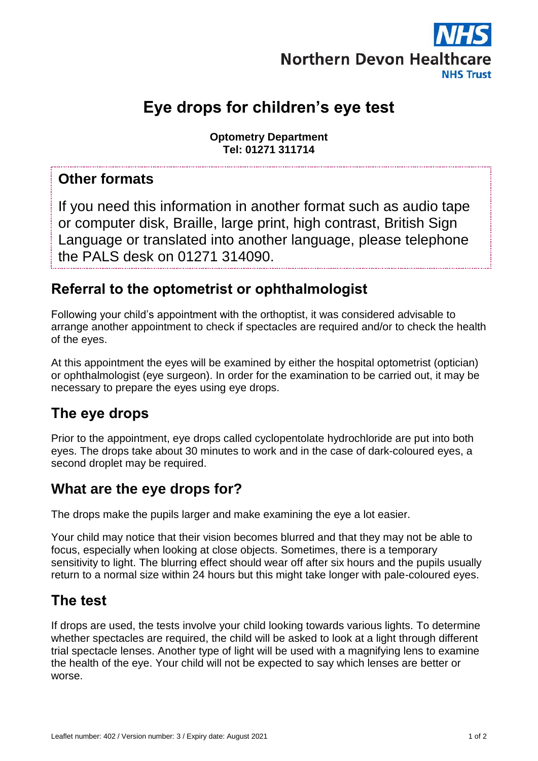

# **Eye drops for children's eye test**

**Optometry Department Tel: 01271 311714**

#### **Other formats**

If you need this information in another format such as audio tape or computer disk, Braille, large print, high contrast, British Sign Language or translated into another language, please telephone the PALS desk on 01271 314090.

#### **Referral to the optometrist or ophthalmologist**

Following your child's appointment with the orthoptist, it was considered advisable to arrange another appointment to check if spectacles are required and/or to check the health of the eyes.

At this appointment the eyes will be examined by either the hospital optometrist (optician) or ophthalmologist (eye surgeon). In order for the examination to be carried out, it may be necessary to prepare the eyes using eye drops.

#### **The eye drops**

Prior to the appointment, eye drops called cyclopentolate hydrochloride are put into both eyes. The drops take about 30 minutes to work and in the case of dark-coloured eyes, a second droplet may be required.

### **What are the eye drops for?**

The drops make the pupils larger and make examining the eye a lot easier.

Your child may notice that their vision becomes blurred and that they may not be able to focus, especially when looking at close objects. Sometimes, there is a temporary sensitivity to light. The blurring effect should wear off after six hours and the pupils usually return to a normal size within 24 hours but this might take longer with pale-coloured eyes.

### **The test**

If drops are used, the tests involve your child looking towards various lights. To determine whether spectacles are required, the child will be asked to look at a light through different trial spectacle lenses. Another type of light will be used with a magnifying lens to examine the health of the eye. Your child will not be expected to say which lenses are better or worse.